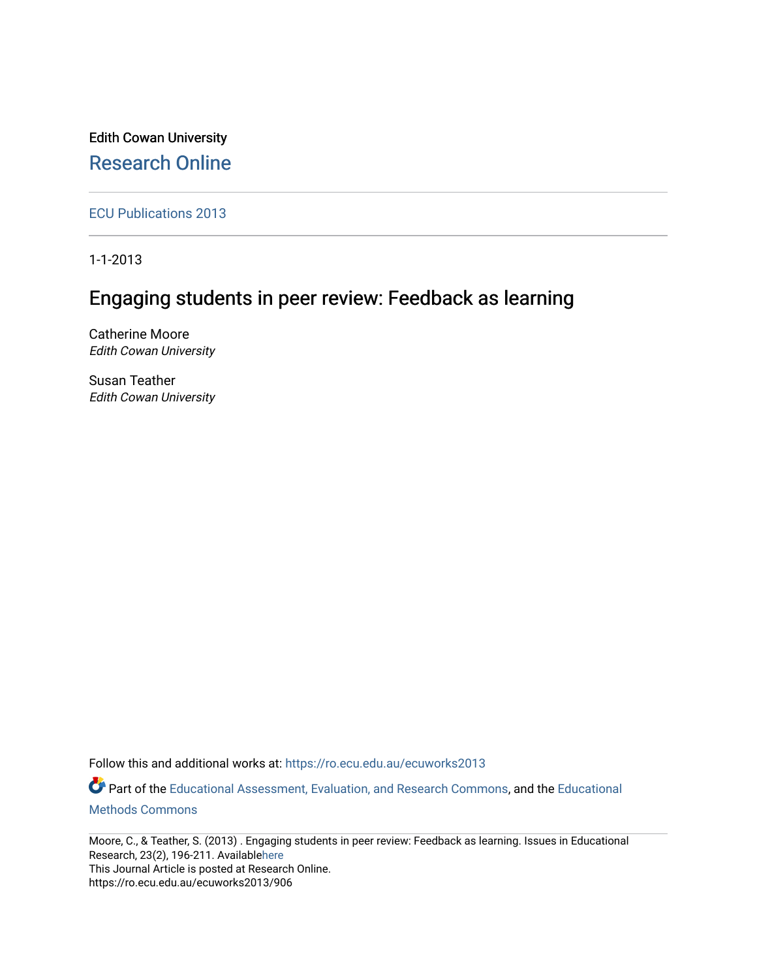Edith Cowan University [Research Online](https://ro.ecu.edu.au/) 

[ECU Publications 2013](https://ro.ecu.edu.au/ecuworks2013)

1-1-2013

# Engaging students in peer review: Feedback as learning

Catherine Moore Edith Cowan University

Susan Teather Edith Cowan University

Follow this and additional works at: [https://ro.ecu.edu.au/ecuworks2013](https://ro.ecu.edu.au/ecuworks2013?utm_source=ro.ecu.edu.au%2Fecuworks2013%2F906&utm_medium=PDF&utm_campaign=PDFCoverPages) 

Part of the [Educational Assessment, Evaluation, and Research Commons](http://network.bepress.com/hgg/discipline/796?utm_source=ro.ecu.edu.au%2Fecuworks2013%2F906&utm_medium=PDF&utm_campaign=PDFCoverPages), and the [Educational](http://network.bepress.com/hgg/discipline/1227?utm_source=ro.ecu.edu.au%2Fecuworks2013%2F906&utm_medium=PDF&utm_campaign=PDFCoverPages) [Methods Commons](http://network.bepress.com/hgg/discipline/1227?utm_source=ro.ecu.edu.au%2Fecuworks2013%2F906&utm_medium=PDF&utm_campaign=PDFCoverPages) 

Moore, C., & Teather, S. (2013) . Engaging students in peer review: Feedback as learning. Issues in Educational Research, 23(2), 196-211. Availabl[ehere](http://www.iier.org.au/iier23/moore.pdf)  This Journal Article is posted at Research Online. https://ro.ecu.edu.au/ecuworks2013/906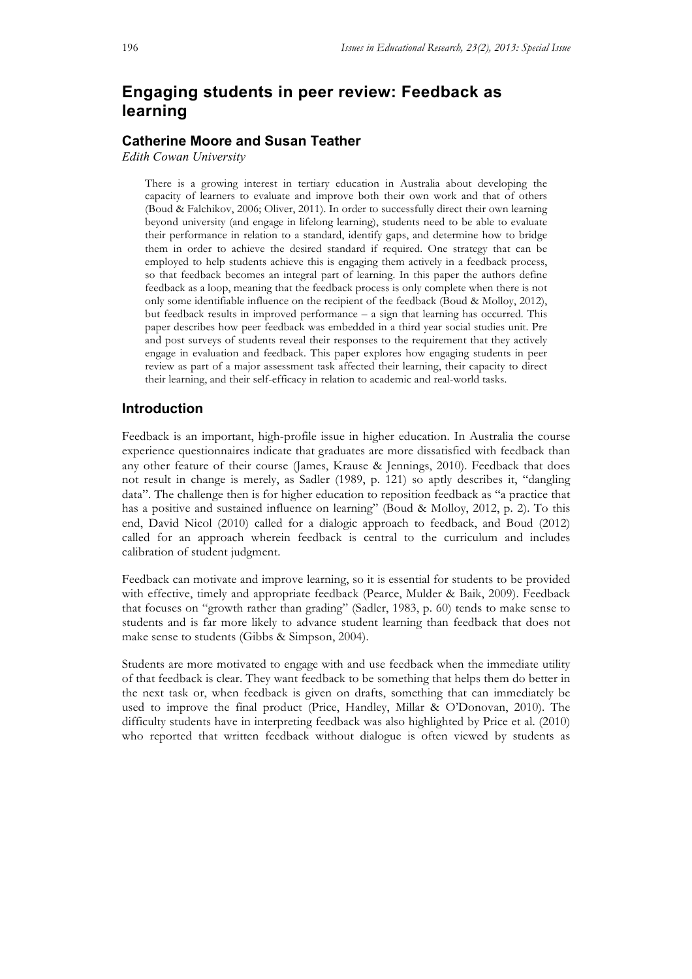## **Engaging students in peer review: Feedback as learning**

### **Catherine Moore and Susan Teather**

*Edith Cowan University*

There is a growing interest in tertiary education in Australia about developing the capacity of learners to evaluate and improve both their own work and that of others (Boud & Falchikov, 2006; Oliver, 2011). In order to successfully direct their own learning beyond university (and engage in lifelong learning), students need to be able to evaluate their performance in relation to a standard, identify gaps, and determine how to bridge them in order to achieve the desired standard if required. One strategy that can be employed to help students achieve this is engaging them actively in a feedback process, so that feedback becomes an integral part of learning. In this paper the authors define feedback as a loop, meaning that the feedback process is only complete when there is not only some identifiable influence on the recipient of the feedback (Boud & Molloy, 2012), but feedback results in improved performance – a sign that learning has occurred. This paper describes how peer feedback was embedded in a third year social studies unit. Pre and post surveys of students reveal their responses to the requirement that they actively engage in evaluation and feedback. This paper explores how engaging students in peer review as part of a major assessment task affected their learning, their capacity to direct their learning, and their self-efficacy in relation to academic and real-world tasks.

### **Introduction**

Feedback is an important, high-profile issue in higher education. In Australia the course experience questionnaires indicate that graduates are more dissatisfied with feedback than any other feature of their course (James, Krause & Jennings, 2010). Feedback that does not result in change is merely, as Sadler (1989, p. 121) so aptly describes it, "dangling data". The challenge then is for higher education to reposition feedback as "a practice that has a positive and sustained influence on learning" (Boud & Molloy, 2012, p. 2). To this end, David Nicol (2010) called for a dialogic approach to feedback, and Boud (2012) called for an approach wherein feedback is central to the curriculum and includes calibration of student judgment.

Feedback can motivate and improve learning, so it is essential for students to be provided with effective, timely and appropriate feedback (Pearce, Mulder & Baik, 2009). Feedback that focuses on "growth rather than grading" (Sadler, 1983, p. 60) tends to make sense to students and is far more likely to advance student learning than feedback that does not make sense to students (Gibbs & Simpson, 2004).

Students are more motivated to engage with and use feedback when the immediate utility of that feedback is clear. They want feedback to be something that helps them do better in the next task or, when feedback is given on drafts, something that can immediately be used to improve the final product (Price, Handley, Millar & O'Donovan, 2010). The difficulty students have in interpreting feedback was also highlighted by Price et al. (2010) who reported that written feedback without dialogue is often viewed by students as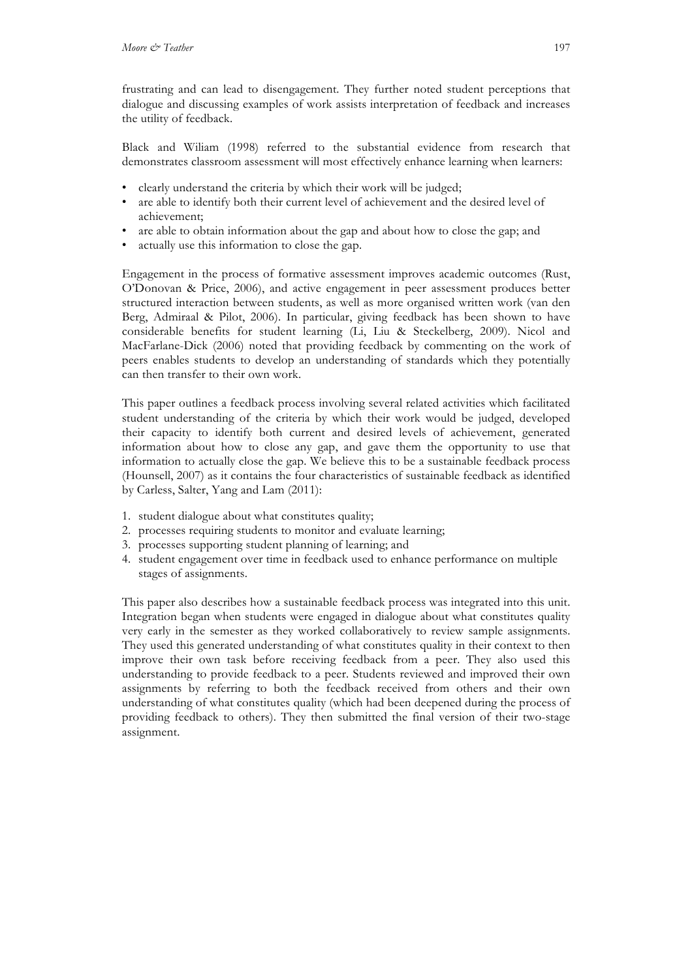frustrating and can lead to disengagement. They further noted student perceptions that dialogue and discussing examples of work assists interpretation of feedback and increases the utility of feedback.

Black and Wiliam (1998) referred to the substantial evidence from research that demonstrates classroom assessment will most effectively enhance learning when learners:

- clearly understand the criteria by which their work will be judged;
- are able to identify both their current level of achievement and the desired level of achievement;
- are able to obtain information about the gap and about how to close the gap; and
- actually use this information to close the gap.

Engagement in the process of formative assessment improves academic outcomes (Rust, O'Donovan & Price, 2006), and active engagement in peer assessment produces better structured interaction between students, as well as more organised written work (van den Berg, Admiraal & Pilot, 2006). In particular, giving feedback has been shown to have considerable benefits for student learning (Li, Liu & Steckelberg, 2009). Nicol and MacFarlane-Dick (2006) noted that providing feedback by commenting on the work of peers enables students to develop an understanding of standards which they potentially can then transfer to their own work.

This paper outlines a feedback process involving several related activities which facilitated student understanding of the criteria by which their work would be judged, developed their capacity to identify both current and desired levels of achievement, generated information about how to close any gap, and gave them the opportunity to use that information to actually close the gap. We believe this to be a sustainable feedback process (Hounsell, 2007) as it contains the four characteristics of sustainable feedback as identified by Carless, Salter, Yang and Lam (2011):

- 1. student dialogue about what constitutes quality;
- 2. processes requiring students to monitor and evaluate learning;
- 3. processes supporting student planning of learning; and
- 4. student engagement over time in feedback used to enhance performance on multiple stages of assignments.

This paper also describes how a sustainable feedback process was integrated into this unit. Integration began when students were engaged in dialogue about what constitutes quality very early in the semester as they worked collaboratively to review sample assignments. They used this generated understanding of what constitutes quality in their context to then improve their own task before receiving feedback from a peer. They also used this understanding to provide feedback to a peer. Students reviewed and improved their own assignments by referring to both the feedback received from others and their own understanding of what constitutes quality (which had been deepened during the process of providing feedback to others). They then submitted the final version of their two-stage assignment.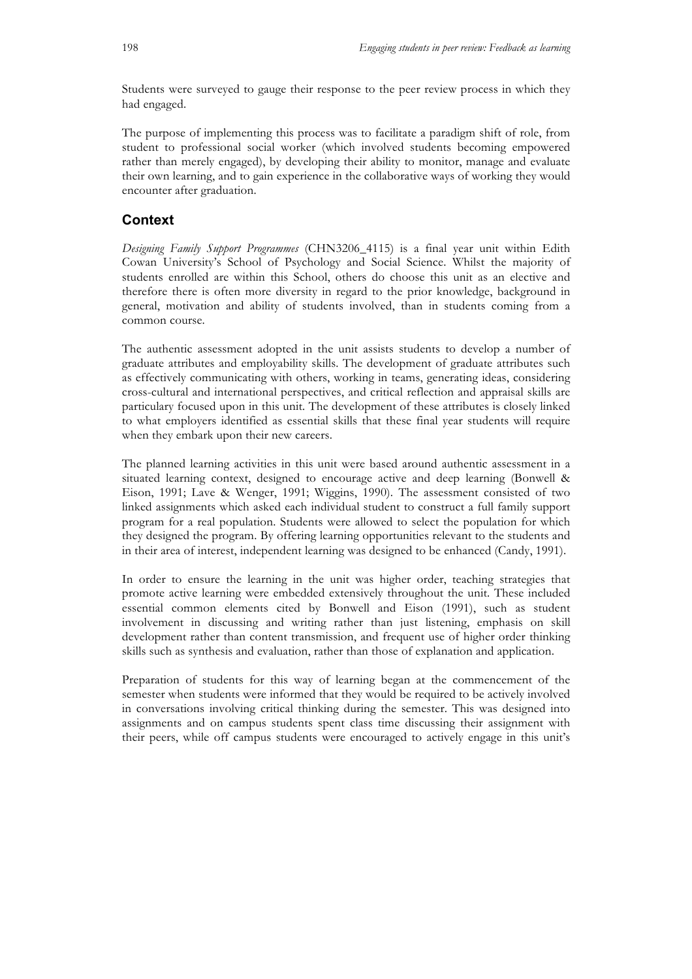Students were surveyed to gauge their response to the peer review process in which they had engaged.

The purpose of implementing this process was to facilitate a paradigm shift of role, from student to professional social worker (which involved students becoming empowered rather than merely engaged), by developing their ability to monitor, manage and evaluate their own learning, and to gain experience in the collaborative ways of working they would encounter after graduation.

### **Context**

*Designing Family Support Programmes* (CHN3206\_4115) is a final year unit within Edith Cowan University's School of Psychology and Social Science. Whilst the majority of students enrolled are within this School, others do choose this unit as an elective and therefore there is often more diversity in regard to the prior knowledge, background in general, motivation and ability of students involved, than in students coming from a common course.

The authentic assessment adopted in the unit assists students to develop a number of graduate attributes and employability skills. The development of graduate attributes such as effectively communicating with others, working in teams, generating ideas, considering cross-cultural and international perspectives, and critical reflection and appraisal skills are particulary focused upon in this unit. The development of these attributes is closely linked to what employers identified as essential skills that these final year students will require when they embark upon their new careers.

The planned learning activities in this unit were based around authentic assessment in a situated learning context, designed to encourage active and deep learning (Bonwell & Eison, 1991; Lave & Wenger, 1991; Wiggins, 1990). The assessment consisted of two linked assignments which asked each individual student to construct a full family support program for a real population. Students were allowed to select the population for which they designed the program. By offering learning opportunities relevant to the students and in their area of interest, independent learning was designed to be enhanced (Candy, 1991).

In order to ensure the learning in the unit was higher order, teaching strategies that promote active learning were embedded extensively throughout the unit. These included essential common elements cited by Bonwell and Eison (1991), such as student involvement in discussing and writing rather than just listening, emphasis on skill development rather than content transmission, and frequent use of higher order thinking skills such as synthesis and evaluation, rather than those of explanation and application.

Preparation of students for this way of learning began at the commencement of the semester when students were informed that they would be required to be actively involved in conversations involving critical thinking during the semester. This was designed into assignments and on campus students spent class time discussing their assignment with their peers, while off campus students were encouraged to actively engage in this unit's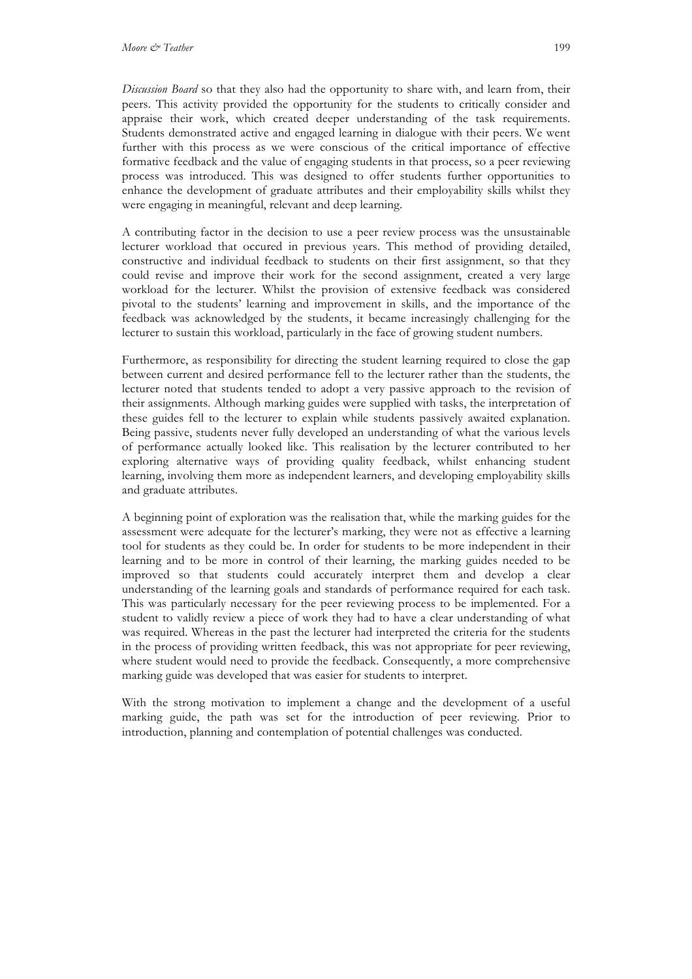*Discussion Board* so that they also had the opportunity to share with, and learn from, their peers. This activity provided the opportunity for the students to critically consider and appraise their work, which created deeper understanding of the task requirements. Students demonstrated active and engaged learning in dialogue with their peers. We went further with this process as we were conscious of the critical importance of effective formative feedback and the value of engaging students in that process, so a peer reviewing process was introduced. This was designed to offer students further opportunities to enhance the development of graduate attributes and their employability skills whilst they were engaging in meaningful, relevant and deep learning.

A contributing factor in the decision to use a peer review process was the unsustainable lecturer workload that occured in previous years. This method of providing detailed, constructive and individual feedback to students on their first assignment, so that they could revise and improve their work for the second assignment, created a very large workload for the lecturer. Whilst the provision of extensive feedback was considered pivotal to the students' learning and improvement in skills, and the importance of the feedback was acknowledged by the students, it became increasingly challenging for the lecturer to sustain this workload, particularly in the face of growing student numbers.

Furthermore, as responsibility for directing the student learning required to close the gap between current and desired performance fell to the lecturer rather than the students, the lecturer noted that students tended to adopt a very passive approach to the revision of their assignments. Although marking guides were supplied with tasks, the interpretation of these guides fell to the lecturer to explain while students passively awaited explanation. Being passive, students never fully developed an understanding of what the various levels of performance actually looked like. This realisation by the lecturer contributed to her exploring alternative ways of providing quality feedback, whilst enhancing student learning, involving them more as independent learners, and developing employability skills and graduate attributes.

A beginning point of exploration was the realisation that, while the marking guides for the assessment were adequate for the lecturer's marking, they were not as effective a learning tool for students as they could be. In order for students to be more independent in their learning and to be more in control of their learning, the marking guides needed to be improved so that students could accurately interpret them and develop a clear understanding of the learning goals and standards of performance required for each task. This was particularly necessary for the peer reviewing process to be implemented. For a student to validly review a piece of work they had to have a clear understanding of what was required. Whereas in the past the lecturer had interpreted the criteria for the students in the process of providing written feedback, this was not appropriate for peer reviewing, where student would need to provide the feedback. Consequently, a more comprehensive marking guide was developed that was easier for students to interpret.

With the strong motivation to implement a change and the development of a useful marking guide, the path was set for the introduction of peer reviewing. Prior to introduction, planning and contemplation of potential challenges was conducted.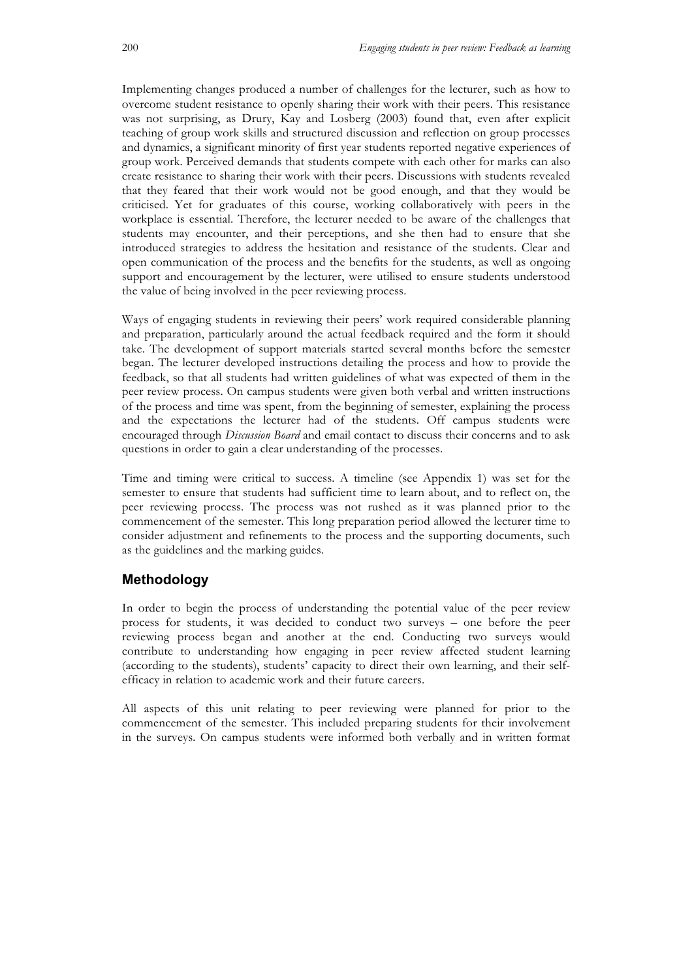Implementing changes produced a number of challenges for the lecturer, such as how to overcome student resistance to openly sharing their work with their peers. This resistance was not surprising, as Drury, Kay and Losberg (2003) found that, even after explicit teaching of group work skills and structured discussion and reflection on group processes and dynamics, a significant minority of first year students reported negative experiences of group work. Perceived demands that students compete with each other for marks can also create resistance to sharing their work with their peers. Discussions with students revealed that they feared that their work would not be good enough, and that they would be criticised. Yet for graduates of this course, working collaboratively with peers in the workplace is essential. Therefore, the lecturer needed to be aware of the challenges that students may encounter, and their perceptions, and she then had to ensure that she introduced strategies to address the hesitation and resistance of the students. Clear and open communication of the process and the benefits for the students, as well as ongoing support and encouragement by the lecturer, were utilised to ensure students understood the value of being involved in the peer reviewing process.

Ways of engaging students in reviewing their peers' work required considerable planning and preparation, particularly around the actual feedback required and the form it should take. The development of support materials started several months before the semester began. The lecturer developed instructions detailing the process and how to provide the feedback, so that all students had written guidelines of what was expected of them in the peer review process. On campus students were given both verbal and written instructions of the process and time was spent, from the beginning of semester, explaining the process and the expectations the lecturer had of the students. Off campus students were encouraged through *Discussion Board* and email contact to discuss their concerns and to ask questions in order to gain a clear understanding of the processes.

Time and timing were critical to success. A timeline (see Appendix 1) was set for the semester to ensure that students had sufficient time to learn about, and to reflect on, the peer reviewing process. The process was not rushed as it was planned prior to the commencement of the semester. This long preparation period allowed the lecturer time to consider adjustment and refinements to the process and the supporting documents, such as the guidelines and the marking guides.

### **Methodology**

In order to begin the process of understanding the potential value of the peer review process for students, it was decided to conduct two surveys – one before the peer reviewing process began and another at the end. Conducting two surveys would contribute to understanding how engaging in peer review affected student learning (according to the students), students' capacity to direct their own learning, and their selfefficacy in relation to academic work and their future careers.

All aspects of this unit relating to peer reviewing were planned for prior to the commencement of the semester. This included preparing students for their involvement in the surveys. On campus students were informed both verbally and in written format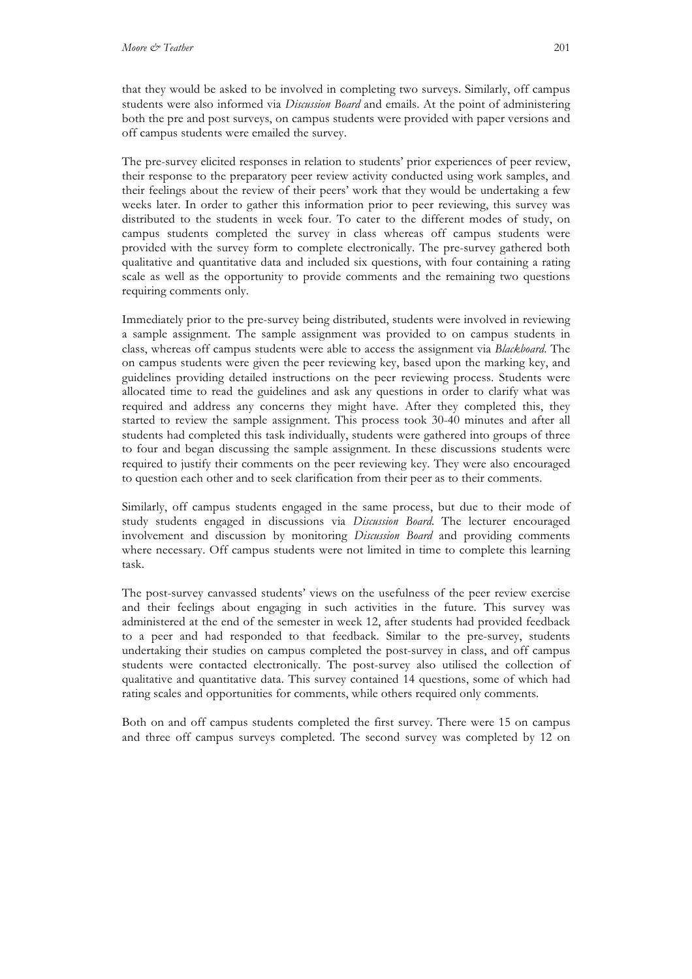that they would be asked to be involved in completing two surveys. Similarly, off campus students were also informed via *Discussion Board* and emails. At the point of administering both the pre and post surveys, on campus students were provided with paper versions and off campus students were emailed the survey.

The pre-survey elicited responses in relation to students' prior experiences of peer review, their response to the preparatory peer review activity conducted using work samples, and their feelings about the review of their peers' work that they would be undertaking a few weeks later. In order to gather this information prior to peer reviewing, this survey was distributed to the students in week four. To cater to the different modes of study, on campus students completed the survey in class whereas off campus students were provided with the survey form to complete electronically. The pre-survey gathered both qualitative and quantitative data and included six questions, with four containing a rating scale as well as the opportunity to provide comments and the remaining two questions requiring comments only.

Immediately prior to the pre-survey being distributed, students were involved in reviewing a sample assignment. The sample assignment was provided to on campus students in class, whereas off campus students were able to access the assignment via *Blackboard*. The on campus students were given the peer reviewing key, based upon the marking key, and guidelines providing detailed instructions on the peer reviewing process. Students were allocated time to read the guidelines and ask any questions in order to clarify what was required and address any concerns they might have. After they completed this, they started to review the sample assignment. This process took 30-40 minutes and after all students had completed this task individually, students were gathered into groups of three to four and began discussing the sample assignment. In these discussions students were required to justify their comments on the peer reviewing key. They were also encouraged to question each other and to seek clarification from their peer as to their comments.

Similarly, off campus students engaged in the same process, but due to their mode of study students engaged in discussions via *Discussion Board*. The lecturer encouraged involvement and discussion by monitoring *Discussion Board* and providing comments where necessary. Off campus students were not limited in time to complete this learning task.

The post-survey canvassed students' views on the usefulness of the peer review exercise and their feelings about engaging in such activities in the future. This survey was administered at the end of the semester in week 12, after students had provided feedback to a peer and had responded to that feedback. Similar to the pre-survey, students undertaking their studies on campus completed the post-survey in class, and off campus students were contacted electronically. The post-survey also utilised the collection of qualitative and quantitative data. This survey contained 14 questions, some of which had rating scales and opportunities for comments, while others required only comments.

Both on and off campus students completed the first survey. There were 15 on campus and three off campus surveys completed. The second survey was completed by 12 on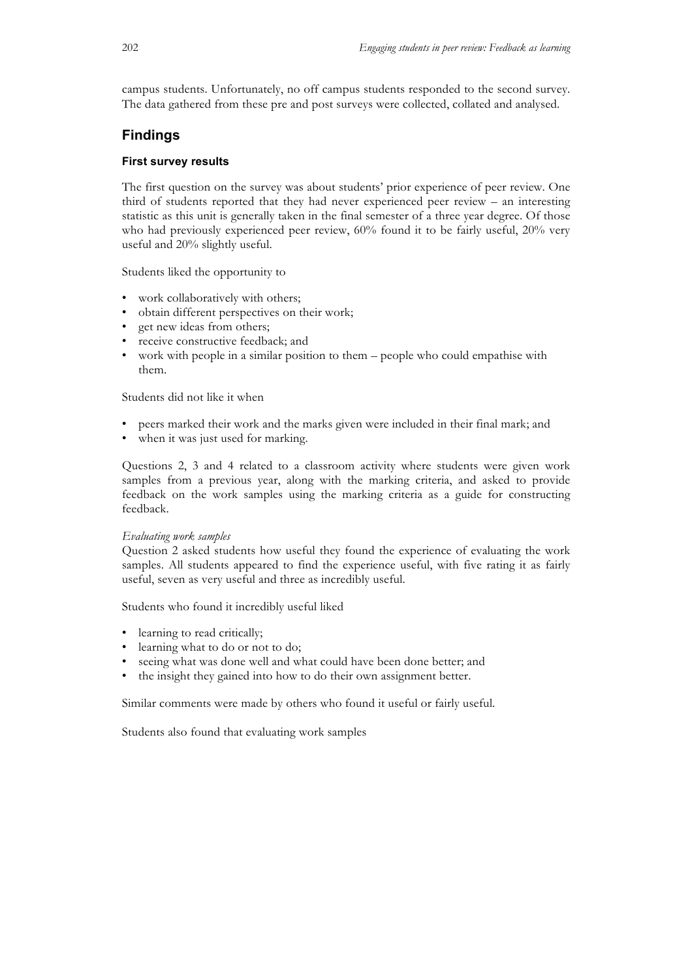campus students. Unfortunately, no off campus students responded to the second survey. The data gathered from these pre and post surveys were collected, collated and analysed.

### **Findings**

### **First survey results**

The first question on the survey was about students' prior experience of peer review. One third of students reported that they had never experienced peer review – an interesting statistic as this unit is generally taken in the final semester of a three year degree. Of those who had previously experienced peer review, 60% found it to be fairly useful, 20% very useful and 20% slightly useful.

Students liked the opportunity to

- work collaboratively with others;
- obtain different perspectives on their work;
- get new ideas from others;
- receive constructive feedback; and
- work with people in a similar position to them people who could empathise with them.

Students did not like it when

- peers marked their work and the marks given were included in their final mark; and
- when it was just used for marking.

Questions 2, 3 and 4 related to a classroom activity where students were given work samples from a previous year, along with the marking criteria, and asked to provide feedback on the work samples using the marking criteria as a guide for constructing feedback.

#### *Evaluating work samples*

Question 2 asked students how useful they found the experience of evaluating the work samples. All students appeared to find the experience useful, with five rating it as fairly useful, seven as very useful and three as incredibly useful.

Students who found it incredibly useful liked

- learning to read critically:
- learning what to do or not to do;
- seeing what was done well and what could have been done better; and
- the insight they gained into how to do their own assignment better.

Similar comments were made by others who found it useful or fairly useful.

Students also found that evaluating work samples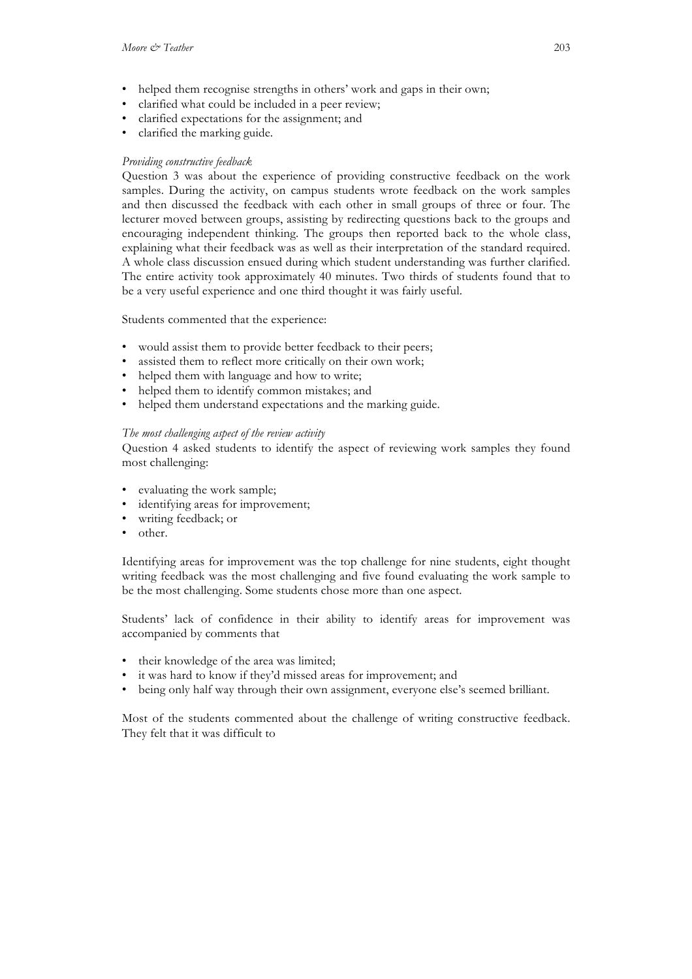- helped them recognise strengths in others' work and gaps in their own;
- clarified what could be included in a peer review;
- clarified expectations for the assignment; and
- clarified the marking guide.

#### *Providing constructive feedback*

Question 3 was about the experience of providing constructive feedback on the work samples. During the activity, on campus students wrote feedback on the work samples and then discussed the feedback with each other in small groups of three or four. The lecturer moved between groups, assisting by redirecting questions back to the groups and encouraging independent thinking. The groups then reported back to the whole class, explaining what their feedback was as well as their interpretation of the standard required. A whole class discussion ensued during which student understanding was further clarified. The entire activity took approximately 40 minutes. Two thirds of students found that to be a very useful experience and one third thought it was fairly useful.

Students commented that the experience:

- would assist them to provide better feedback to their peers;
- assisted them to reflect more critically on their own work;
- helped them with language and how to write;
- helped them to identify common mistakes; and
- helped them understand expectations and the marking guide.

#### *The most challenging aspect of the review activity*

Question 4 asked students to identify the aspect of reviewing work samples they found most challenging:

- evaluating the work sample;
- identifying areas for improvement;
- writing feedback; or
- other.

Identifying areas for improvement was the top challenge for nine students, eight thought writing feedback was the most challenging and five found evaluating the work sample to be the most challenging. Some students chose more than one aspect.

Students' lack of confidence in their ability to identify areas for improvement was accompanied by comments that

- their knowledge of the area was limited;
- it was hard to know if they'd missed areas for improvement; and
- being only half way through their own assignment, everyone else's seemed brilliant.

Most of the students commented about the challenge of writing constructive feedback. They felt that it was difficult to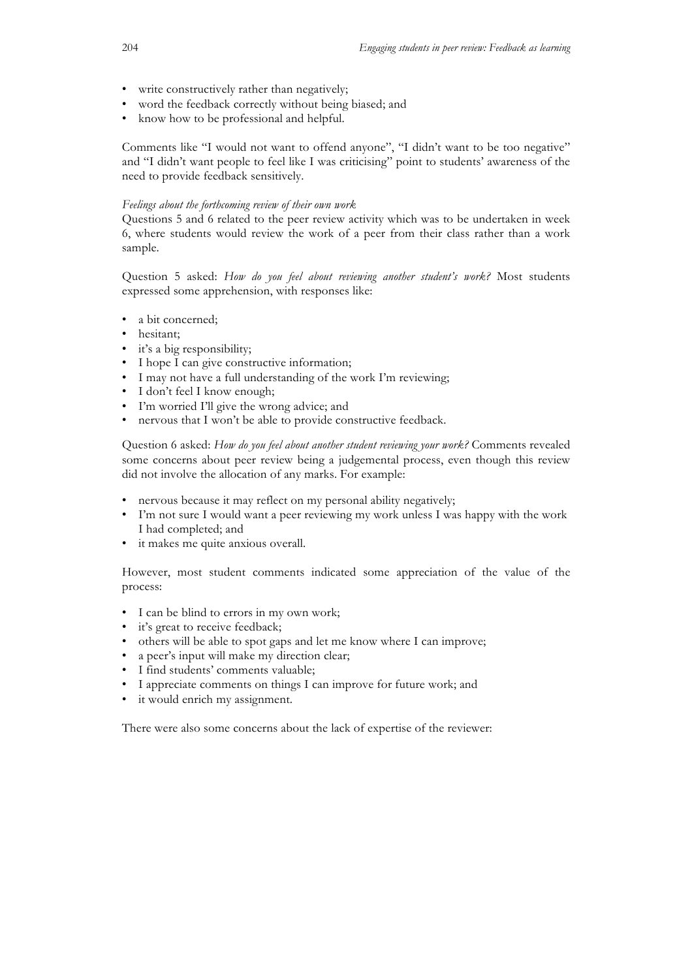- write constructively rather than negatively;
- word the feedback correctly without being biased; and
- know how to be professional and helpful.

Comments like "I would not want to offend anyone", "I didn't want to be too negative" and "I didn't want people to feel like I was criticising" point to students' awareness of the need to provide feedback sensitively.

#### *Feelings about the forthcoming review of their own work*

Questions 5 and 6 related to the peer review activity which was to be undertaken in week 6, where students would review the work of a peer from their class rather than a work sample.

Question 5 asked: *How do you feel about reviewing another student's work?* Most students expressed some apprehension, with responses like:

- a bit concerned;
- hesitant;
- it's a big responsibility;
- I hope I can give constructive information;
- I may not have a full understanding of the work I'm reviewing;
- I don't feel I know enough;
- I'm worried I'll give the wrong advice; and
- nervous that I won't be able to provide constructive feedback.

Question 6 asked: *How do you feel about another student reviewing your work?* Comments revealed some concerns about peer review being a judgemental process, even though this review did not involve the allocation of any marks. For example:

- nervous because it may reflect on my personal ability negatively;
- I'm not sure I would want a peer reviewing my work unless I was happy with the work I had completed; and
- it makes me quite anxious overall.

However, most student comments indicated some appreciation of the value of the process:

- I can be blind to errors in my own work;
- it's great to receive feedback;
- others will be able to spot gaps and let me know where I can improve;
- a peer's input will make my direction clear;
- I find students' comments valuable;
- I appreciate comments on things I can improve for future work; and
- it would enrich my assignment.

There were also some concerns about the lack of expertise of the reviewer: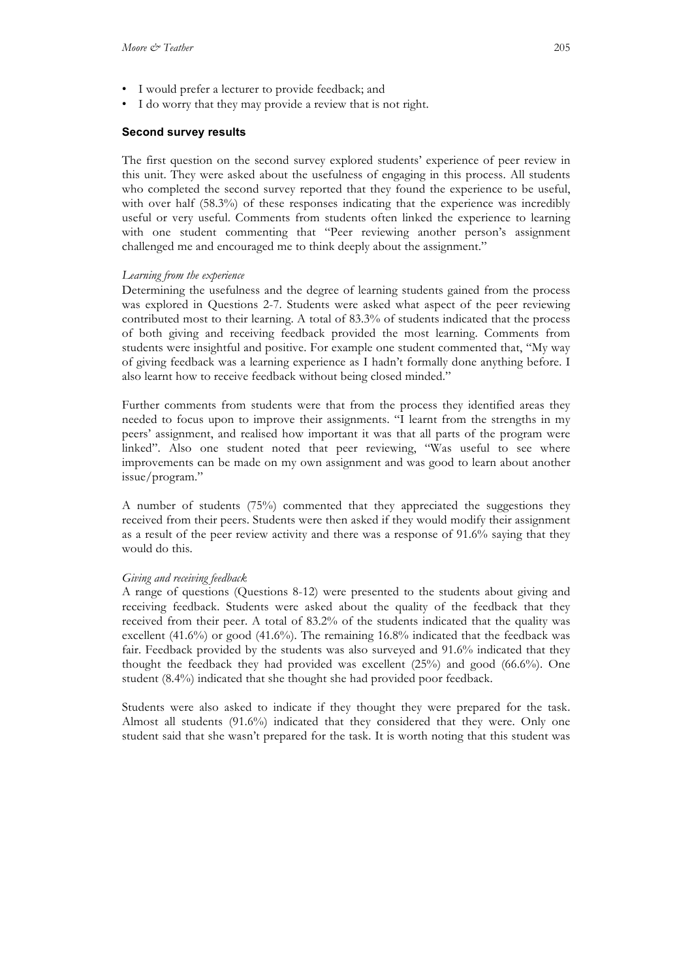- I would prefer a lecturer to provide feedback; and
- I do worry that they may provide a review that is not right.

#### **Second survey results**

The first question on the second survey explored students' experience of peer review in this unit. They were asked about the usefulness of engaging in this process. All students who completed the second survey reported that they found the experience to be useful, with over half (58.3%) of these responses indicating that the experience was incredibly useful or very useful. Comments from students often linked the experience to learning with one student commenting that "Peer reviewing another person's assignment challenged me and encouraged me to think deeply about the assignment."

#### *Learning from the experience*

Determining the usefulness and the degree of learning students gained from the process was explored in Questions 2-7. Students were asked what aspect of the peer reviewing contributed most to their learning. A total of 83.3% of students indicated that the process of both giving and receiving feedback provided the most learning. Comments from students were insightful and positive. For example one student commented that, "My way of giving feedback was a learning experience as I hadn't formally done anything before. I also learnt how to receive feedback without being closed minded."

Further comments from students were that from the process they identified areas they needed to focus upon to improve their assignments. "I learnt from the strengths in my peers' assignment, and realised how important it was that all parts of the program were linked". Also one student noted that peer reviewing, "Was useful to see where improvements can be made on my own assignment and was good to learn about another issue/program."

A number of students (75%) commented that they appreciated the suggestions they received from their peers. Students were then asked if they would modify their assignment as a result of the peer review activity and there was a response of 91.6% saying that they would do this.

#### *Giving and receiving feedback*

A range of questions (Questions 8-12) were presented to the students about giving and receiving feedback. Students were asked about the quality of the feedback that they received from their peer. A total of 83.2% of the students indicated that the quality was excellent (41.6%) or good (41.6%). The remaining 16.8% indicated that the feedback was fair. Feedback provided by the students was also surveyed and 91.6% indicated that they thought the feedback they had provided was excellent (25%) and good (66.6%). One student (8.4%) indicated that she thought she had provided poor feedback.

Students were also asked to indicate if they thought they were prepared for the task. Almost all students (91.6%) indicated that they considered that they were. Only one student said that she wasn't prepared for the task. It is worth noting that this student was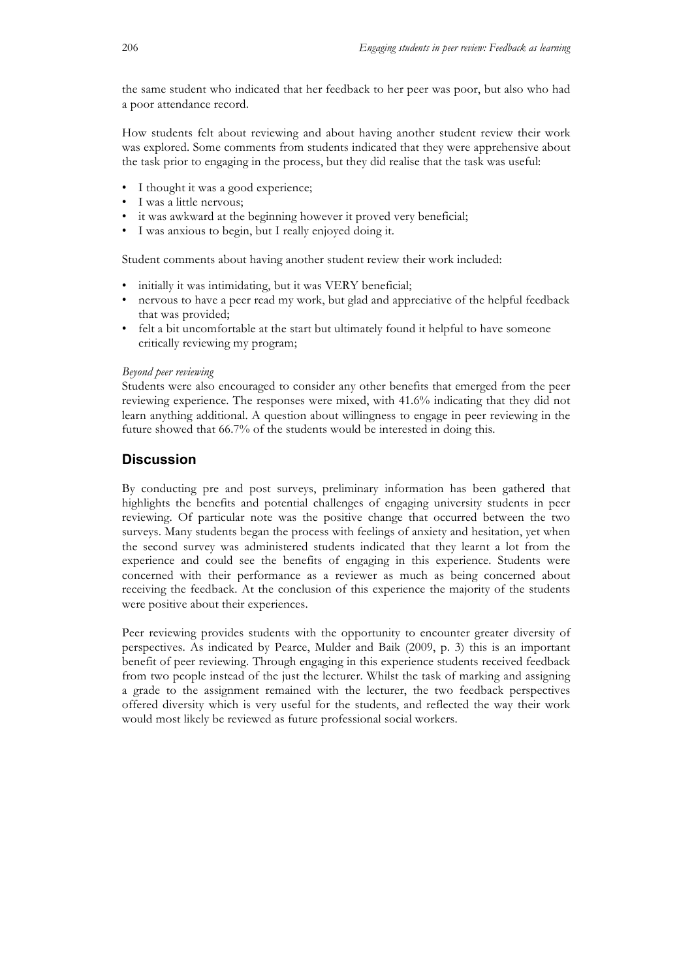the same student who indicated that her feedback to her peer was poor, but also who had a poor attendance record.

How students felt about reviewing and about having another student review their work was explored. Some comments from students indicated that they were apprehensive about the task prior to engaging in the process, but they did realise that the task was useful:

- I thought it was a good experience;
- I was a little nervous;
- it was awkward at the beginning however it proved very beneficial;
- I was anxious to begin, but I really enjoyed doing it.

Student comments about having another student review their work included:

- initially it was intimidating, but it was VERY beneficial;
- nervous to have a peer read my work, but glad and appreciative of the helpful feedback that was provided;
- felt a bit uncomfortable at the start but ultimately found it helpful to have someone critically reviewing my program;

#### *Beyond peer reviewing*

Students were also encouraged to consider any other benefits that emerged from the peer reviewing experience. The responses were mixed, with 41.6% indicating that they did not learn anything additional. A question about willingness to engage in peer reviewing in the future showed that 66.7% of the students would be interested in doing this.

### **Discussion**

By conducting pre and post surveys, preliminary information has been gathered that highlights the benefits and potential challenges of engaging university students in peer reviewing. Of particular note was the positive change that occurred between the two surveys. Many students began the process with feelings of anxiety and hesitation, yet when the second survey was administered students indicated that they learnt a lot from the experience and could see the benefits of engaging in this experience. Students were concerned with their performance as a reviewer as much as being concerned about receiving the feedback. At the conclusion of this experience the majority of the students were positive about their experiences.

Peer reviewing provides students with the opportunity to encounter greater diversity of perspectives. As indicated by Pearce, Mulder and Baik (2009, p. 3) this is an important benefit of peer reviewing. Through engaging in this experience students received feedback from two people instead of the just the lecturer. Whilst the task of marking and assigning a grade to the assignment remained with the lecturer, the two feedback perspectives offered diversity which is very useful for the students, and reflected the way their work would most likely be reviewed as future professional social workers.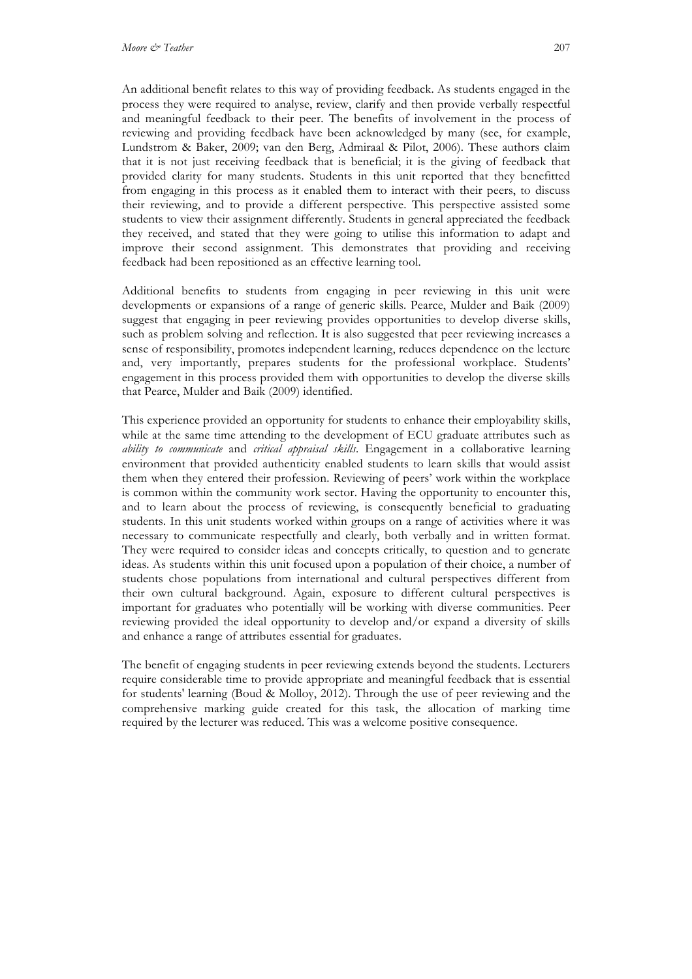An additional benefit relates to this way of providing feedback. As students engaged in the process they were required to analyse, review, clarify and then provide verbally respectful and meaningful feedback to their peer. The benefits of involvement in the process of reviewing and providing feedback have been acknowledged by many (see, for example, Lundstrom & Baker, 2009; van den Berg, Admiraal & Pilot, 2006). These authors claim that it is not just receiving feedback that is beneficial; it is the giving of feedback that provided clarity for many students. Students in this unit reported that they benefitted from engaging in this process as it enabled them to interact with their peers, to discuss their reviewing, and to provide a different perspective. This perspective assisted some students to view their assignment differently. Students in general appreciated the feedback they received, and stated that they were going to utilise this information to adapt and improve their second assignment. This demonstrates that providing and receiving feedback had been repositioned as an effective learning tool.

Additional benefits to students from engaging in peer reviewing in this unit were developments or expansions of a range of generic skills. Pearce, Mulder and Baik (2009) suggest that engaging in peer reviewing provides opportunities to develop diverse skills, such as problem solving and reflection. It is also suggested that peer reviewing increases a sense of responsibility, promotes independent learning, reduces dependence on the lecture and, very importantly, prepares students for the professional workplace. Students' engagement in this process provided them with opportunities to develop the diverse skills that Pearce, Mulder and Baik (2009) identified.

This experience provided an opportunity for students to enhance their employability skills, while at the same time attending to the development of ECU graduate attributes such as *ability to communicate* and *critical appraisal skills*. Engagement in a collaborative learning environment that provided authenticity enabled students to learn skills that would assist them when they entered their profession. Reviewing of peers' work within the workplace is common within the community work sector. Having the opportunity to encounter this, and to learn about the process of reviewing, is consequently beneficial to graduating students. In this unit students worked within groups on a range of activities where it was necessary to communicate respectfully and clearly, both verbally and in written format. They were required to consider ideas and concepts critically, to question and to generate ideas. As students within this unit focused upon a population of their choice, a number of students chose populations from international and cultural perspectives different from their own cultural background. Again, exposure to different cultural perspectives is important for graduates who potentially will be working with diverse communities. Peer reviewing provided the ideal opportunity to develop and/or expand a diversity of skills and enhance a range of attributes essential for graduates.

The benefit of engaging students in peer reviewing extends beyond the students. Lecturers require considerable time to provide appropriate and meaningful feedback that is essential for students' learning (Boud & Molloy, 2012). Through the use of peer reviewing and the comprehensive marking guide created for this task, the allocation of marking time required by the lecturer was reduced. This was a welcome positive consequence.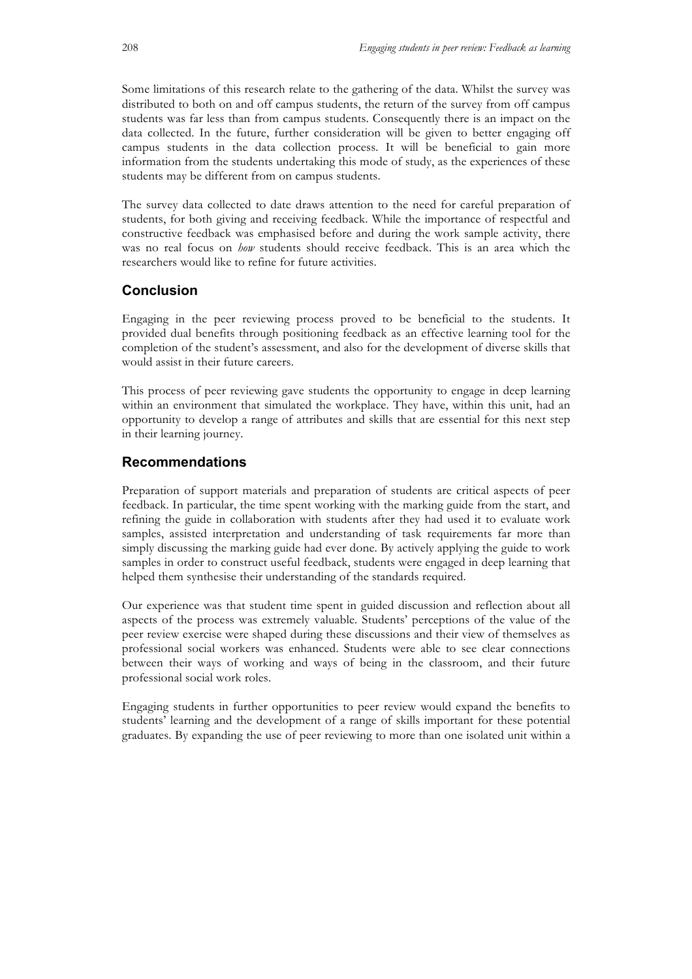Some limitations of this research relate to the gathering of the data. Whilst the survey was distributed to both on and off campus students, the return of the survey from off campus students was far less than from campus students. Consequently there is an impact on the data collected. In the future, further consideration will be given to better engaging off campus students in the data collection process. It will be beneficial to gain more information from the students undertaking this mode of study, as the experiences of these students may be different from on campus students.

The survey data collected to date draws attention to the need for careful preparation of students, for both giving and receiving feedback. While the importance of respectful and constructive feedback was emphasised before and during the work sample activity, there was no real focus on *how* students should receive feedback. This is an area which the researchers would like to refine for future activities.

### **Conclusion**

Engaging in the peer reviewing process proved to be beneficial to the students. It provided dual benefits through positioning feedback as an effective learning tool for the completion of the student's assessment, and also for the development of diverse skills that would assist in their future careers.

This process of peer reviewing gave students the opportunity to engage in deep learning within an environment that simulated the workplace. They have, within this unit, had an opportunity to develop a range of attributes and skills that are essential for this next step in their learning journey.

### **Recommendations**

Preparation of support materials and preparation of students are critical aspects of peer feedback. In particular, the time spent working with the marking guide from the start, and refining the guide in collaboration with students after they had used it to evaluate work samples, assisted interpretation and understanding of task requirements far more than simply discussing the marking guide had ever done. By actively applying the guide to work samples in order to construct useful feedback, students were engaged in deep learning that helped them synthesise their understanding of the standards required.

Our experience was that student time spent in guided discussion and reflection about all aspects of the process was extremely valuable. Students' perceptions of the value of the peer review exercise were shaped during these discussions and their view of themselves as professional social workers was enhanced. Students were able to see clear connections between their ways of working and ways of being in the classroom, and their future professional social work roles.

Engaging students in further opportunities to peer review would expand the benefits to students' learning and the development of a range of skills important for these potential graduates. By expanding the use of peer reviewing to more than one isolated unit within a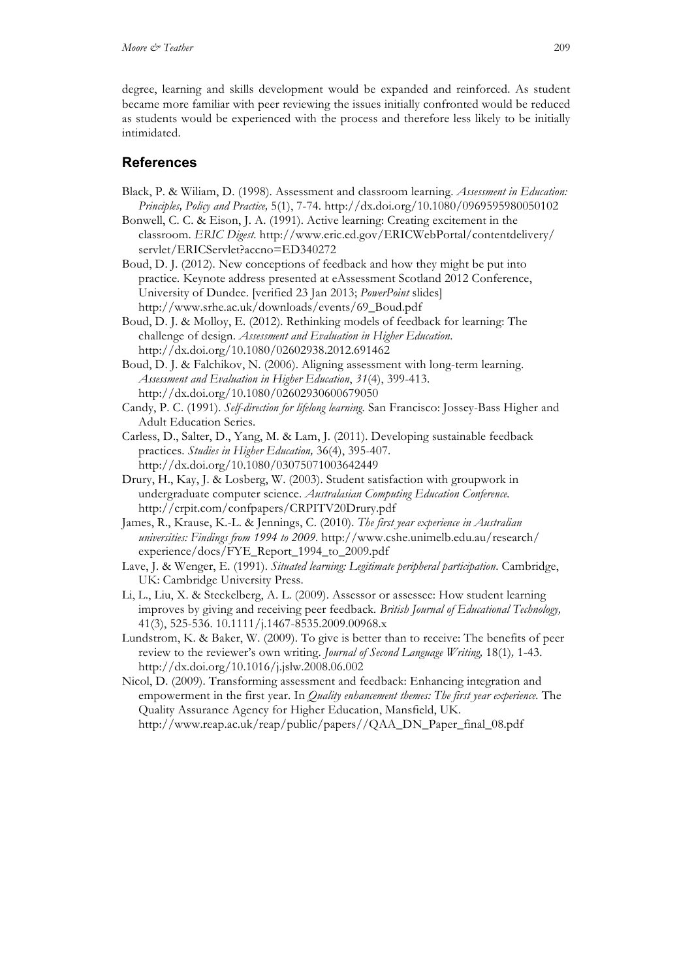degree, learning and skills development would be expanded and reinforced. As student became more familiar with peer reviewing the issues initially confronted would be reduced as students would be experienced with the process and therefore less likely to be initially intimidated.

### **References**

- Black, P. & Wiliam, D. (1998). Assessment and classroom learning. *Assessment in Education: Principles, Policy and Practice,* 5(1), 7-74. http://dx.doi.org/10.1080/0969595980050102
- Bonwell, C. C. & Eison, J. A. (1991). Active learning: Creating excitement in the classroom. *ERIC Digest*. http://www.eric.ed.gov/ERICWebPortal/contentdelivery/ servlet/ERICServlet?accno=ED340272
- Boud, D. J. (2012). New conceptions of feedback and how they might be put into practice*.* Keynote address presented at eAssessment Scotland 2012 Conference, University of Dundee. [verified 23 Jan 2013; *PowerPoint* slides] http://www.srhe.ac.uk/downloads/events/69\_Boud.pdf
- Boud, D. J. & Molloy, E. (2012). Rethinking models of feedback for learning: The challenge of design. *Assessment and Evaluation in Higher Education*. http://dx.doi.org/10.1080/02602938.2012.691462
- Boud, D. J. & Falchikov, N. (2006). Aligning assessment with long-term learning. *Assessment and Evaluation in Higher Education*, *31*(4), 399-413. http://dx.doi.org/10.1080/02602930600679050
- Candy, P. C. (1991). *Self-direction for lifelong learning.* San Francisco: Jossey-Bass Higher and Adult Education Series.
- Carless, D., Salter, D., Yang, M. & Lam, J. (2011). Developing sustainable feedback practices. *Studies in Higher Education,* 36(4), 395-407. http://dx.doi.org/10.1080/03075071003642449
- Drury, H., Kay, J. & Losberg, W. (2003). Student satisfaction with groupwork in undergraduate computer science. *Australasian Computing Education Conference.* http://crpit.com/confpapers/CRPITV20Drury.pdf
- James, R., Krause, K.-L. & Jennings, C. (2010). *The first year experience in Australian universities: Findings from 1994 to 2009*. http://www.cshe.unimelb.edu.au/research/ experience/docs/FYE\_Report\_1994\_to\_2009.pdf
- Lave, J. & Wenger, E. (1991). *Situated learning: Legitimate peripheral participation*. Cambridge, UK: Cambridge University Press.
- Li, L., Liu, X. & Steckelberg, A. L. (2009). Assessor or assessee: How student learning improves by giving and receiving peer feedback*. British Journal of Educational Technology,* 41(3), 525-536. 10.1111/j.1467-8535.2009.00968.x
- Lundstrom, K. & Baker, W. (2009). To give is better than to receive: The benefits of peer review to the reviewer's own writing. *Journal of Second Language Writing,* 18(1)*,* 1-43. http://dx.doi.org/10.1016/j.jslw.2008.06.002
- Nicol, D. (2009). Transforming assessment and feedback: Enhancing integration and empowerment in the first year. In *Quality enhancement themes: The first year experience.* The Quality Assurance Agency for Higher Education, Mansfield, UK. http://www.reap.ac.uk/reap/public/papers//QAA\_DN\_Paper\_final\_08.pdf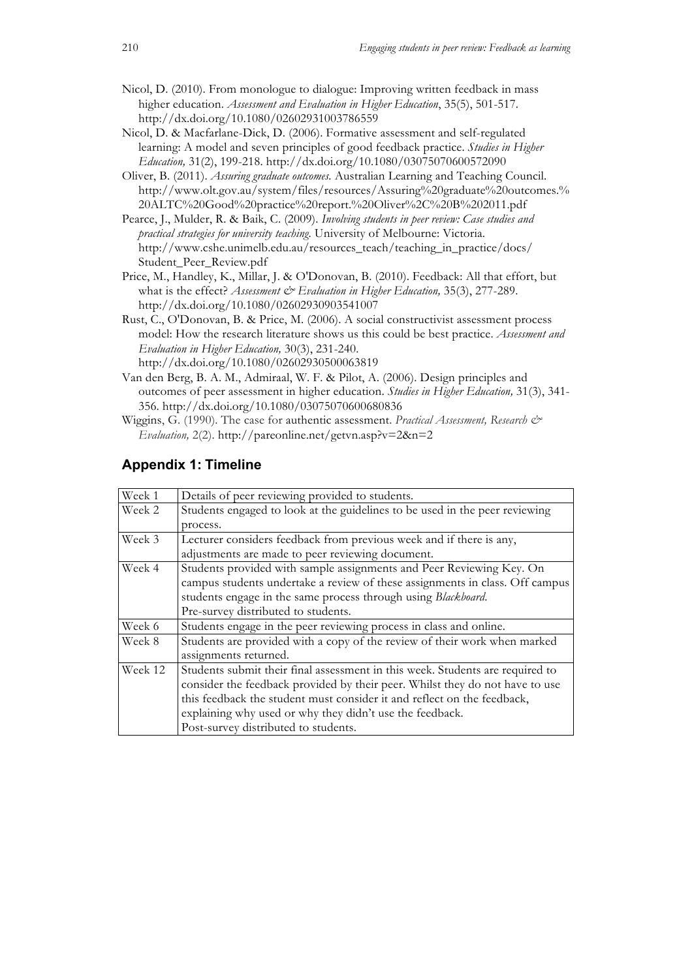- Nicol, D. (2010). From monologue to dialogue: Improving written feedback in mass higher education. *Assessment and Evaluation in Higher Education*, 35(5), 501-517. http://dx.doi.org/10.1080/02602931003786559
- Nicol, D. & Macfarlane-Dick, D. (2006). Formative assessment and self-regulated learning: A model and seven principles of good feedback practice. *Studies in Higher Education,* 31(2), 199-218. http://dx.doi.org/10.1080/03075070600572090
- Oliver, B. (2011). *Assuring graduate outcomes.* Australian Learning and Teaching Council. http://www.olt.gov.au/system/files/resources/Assuring%20graduate%20outcomes.% 20ALTC%20Good%20practice%20report.%20Oliver%2C%20B%202011.pdf
- Pearce, J., Mulder, R. & Baik, C. (2009). *Involving students in peer review: Case studies and practical strategies for university teaching.* University of Melbourne: Victoria. http://www.cshe.unimelb.edu.au/resources\_teach/teaching\_in\_practice/docs/ Student\_Peer\_Review.pdf
- Price, M., Handley, K., Millar, J. & O'Donovan, B. (2010). Feedback: All that effort, but what is the effect? *Assessment & Evaluation in Higher Education*, 35(3), 277-289. http://dx.doi.org/10.1080/02602930903541007
- Rust, C., O'Donovan, B. & Price, M. (2006). A social constructivist assessment process model: How the research literature shows us this could be best practice. *Assessment and Evaluation in Higher Education,* 30(3), 231-240. http://dx.doi.org/10.1080/02602930500063819
- Van den Berg, B. A. M., Admiraal, W. F. & Pilot, A. (2006). Design principles and outcomes of peer assessment in higher education. *Studies in Higher Education,* 31(3), 341- 356. http://dx.doi.org/10.1080/03075070600680836
- Wiggins, G. (1990). The case for authentic assessment. *Practical Assessment, Research & Evaluation,* 2(2). http://pareonline.net/getvn.asp?v=2&n=2

| Week 1  | Details of peer reviewing provided to students.                               |
|---------|-------------------------------------------------------------------------------|
| Week 2  | Students engaged to look at the guidelines to be used in the peer reviewing   |
|         | process.                                                                      |
| Week 3  | Lecturer considers feedback from previous week and if there is any,           |
|         | adjustments are made to peer reviewing document.                              |
| Week 4  | Students provided with sample assignments and Peer Reviewing Key. On          |
|         | campus students undertake a review of these assignments in class. Off campus  |
|         | students engage in the same process through using Blackboard.                 |
|         | Pre-survey distributed to students.                                           |
| Week 6  | Students engage in the peer reviewing process in class and online.            |
| Week 8  | Students are provided with a copy of the review of their work when marked     |
|         | assignments returned.                                                         |
| Week 12 | Students submit their final assessment in this week. Students are required to |
|         | consider the feedback provided by their peer. Whilst they do not have to use  |
|         | this feedback the student must consider it and reflect on the feedback,       |
|         | explaining why used or why they didn't use the feedback.                      |
|         | Post-survey distributed to students.                                          |

### **Appendix 1: Timeline**